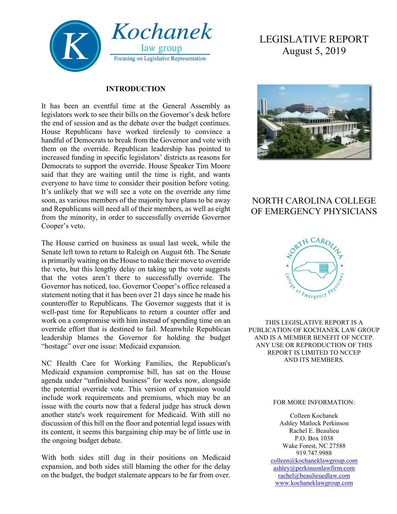

#### **INTRODUCTION**

It has been an eventful time at the General Assembly as legislators work to see their bills on the Governor's desk before the end of session and as the debate over the budget continues. House Republicans have worked tirelessly to convince a handful of Democrats to break from the Governor and vote with them on the override. Republican leadership has pointed to increased funding in specific legislators' districts as reasons for Democrats to support the override. House Speaker Tim Moore said that they are waiting until the time is right, and wants everyone to have time to consider their position before voting. It's unlikely that we will see a vote on the override any time soon, as various members of the majority have plans to be away and Republicans will need all of their members, as well as eight from the minority, in order to successfully override Governor Cooper's veto.

The House carried on business as usual last week, while the Senate left town to return to Raleigh on August 6th. The Senate is primarily waiting on the House to make their move to override the veto, but this lengthy delay on taking up the vote suggests that the votes aren't there to successfully override. The Governor has noticed, too. Governor Cooper's office released a statement noting that it has been over 21 days since he made his counteroffer to Republicans. The Governor suggests that it is well-past time for Republicans to return a counter offer and work on a compromise with him instead of spending time on an override effort that is destined to fail. Meanwhile Republican leadership blames the Governor for holding the budget "hostage" over one issue: Medicaid expansion.

NC Health Care for Working Families, the Republican's Medicaid expansion compromise bill, has sat on the House agenda under "unfinished business" for weeks now, alongside the potential override vote. This version of expansion would include work requirements and premiums, which may be an issue with the courts now that a federal judge has struck down another state's work requirement for Medicaid. With still no discussion of this bill on the floor and potential legal issues with its content, it seems this bargaining chip may be of little use in the ongoing budget debate.

With both sides still dug in their positions on Medicaid expansion, and both sides still blaming the other for the delay on the budget, the budget stalemate appears to be far from over.

# LEGISLATIVE REPORT August 5, 2019



# NORTH CAROLINA COLLEGE OF EMERGENCY PHYSICIANS



THIS LEGISLATIVE REPORT IS A PUBLICATION OF KOCHANEK LAW GROUP AND IS A MEMBER BENEFIT OF NCCEP. ANY USE OR REPRODUCTION OF THIS REPORT IS LIMITED TO NCCEP AND ITS MEMBERS.

#### FOR MORE INFORMATION:

Colleen Kochanek Ashley Matlock Perkinson Rachel E. Beaulieu P.O. Box 1038 Wake Forest, NC 27588 919.747.9988 [colleen@kochaneklawgroup.com](mailto:colleen@kochaneklawgroup.com) [ashley@perkinsonlawfirm.com](mailto:ashley@perkinsonlawfirm.com) [rachel@beaulieuedlaw.com](mailto:rachel@beaulieuedlaw.com) [www.kochaneklawgroup.com](http://www.kochaneklawgroup.com/)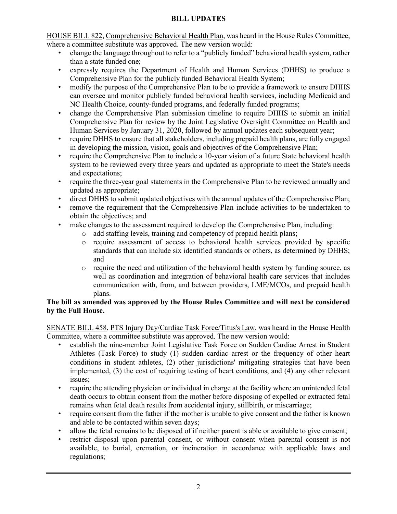#### **BILL UPDATES**

HOUSE BILL 822, Comprehensive Behavioral Health Plan, was heard in the House Rules Committee, where a committee substitute was approved. The new version would:

- change the language throughout to refer to a "publicly funded" behavioral health system, rather than a state funded one;
- expressly requires the Department of Health and Human Services (DHHS) to produce a Comprehensive Plan for the publicly funded Behavioral Health System;
- modify the purpose of the Comprehensive Plan to be to provide a framework to ensure DHHS can oversee and monitor publicly funded behavioral health services, including Medicaid and NC Health Choice, county-funded programs, and federally funded programs;
- change the Comprehensive Plan submission timeline to require DHHS to submit an initial Comprehensive Plan for review by the Joint Legislative Oversight Committee on Health and Human Services by January 31, 2020, followed by annual updates each subsequent year;
- require DHHS to ensure that all stakeholders, including prepaid health plans, are fully engaged in developing the mission, vision, goals and objectives of the Comprehensive Plan;
- require the Comprehensive Plan to include a 10-year vision of a future State behavioral health system to be reviewed every three years and updated as appropriate to meet the State's needs and expectations;
- require the three-year goal statements in the Comprehensive Plan to be reviewed annually and updated as appropriate;
- direct DHHS to submit updated objectives with the annual updates of the Comprehensive Plan;
- remove the requirement that the Comprehensive Plan include activities to be undertaken to obtain the objectives; and
- make changes to the assessment required to develop the Comprehensive Plan, including:
	- o add staffing levels, training and competency of prepaid health plans;
	- o require assessment of access to behavioral health services provided by specific standards that can include six identified standards or others, as determined by DHHS; and
	- o require the need and utilization of the behavioral health system by funding source, as well as coordination and integration of behavioral health care services that includes communication with, from, and between providers, LME/MCOs, and prepaid health plans.

#### **The bill as amended was approved by the House Rules Committee and will next be considered by the Full House.**

SENATE BILL 458, PTS Injury Day/Cardiac Task Force/Titus's Law, was heard in the House Health Committee, where a committee substitute was approved. The new version would:

- establish the nine-member Joint Legislative Task Force on Sudden Cardiac Arrest in Student Athletes (Task Force) to study (1) sudden cardiac arrest or the frequency of other heart conditions in student athletes, (2) other jurisdictions' mitigating strategies that have been implemented, (3) the cost of requiring testing of heart conditions, and (4) any other relevant issues;
- require the attending physician or individual in charge at the facility where an unintended fetal death occurs to obtain consent from the mother before disposing of expelled or extracted fetal remains when fetal death results from accidental injury, stillbirth, or miscarriage;
- require consent from the father if the mother is unable to give consent and the father is known and able to be contacted within seven days;
- allow the fetal remains to be disposed of if neither parent is able or available to give consent;
- restrict disposal upon parental consent, or without consent when parental consent is not available, to burial, cremation, or incineration in accordance with applicable laws and regulations;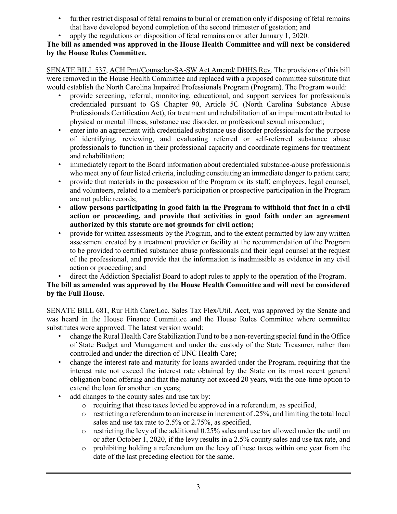- further restrict disposal of fetal remains to burial or cremation only if disposing of fetal remains that have developed beyond completion of the second trimester of gestation; and
- apply the regulations on disposition of fetal remains on or after January 1, 2020.

#### **The bill as amended was approved in the House Health Committee and will next be considered by the House Rules Committee.**

SENATE BILL 537, ACH Pmt/Counselor-SA-SW Act Amend/ DHHS Rev. The provisions of this bill were removed in the House Health Committee and replaced with a proposed committee substitute that would establish the North Carolina Impaired Professionals Program (Program). The Program would:

- provide screening, referral, monitoring, educational, and support services for professionals credentialed pursuant to GS Chapter 90, Article 5C (North Carolina Substance Abuse Professionals Certification Act), for treatment and rehabilitation of an impairment attributed to physical or mental illness, substance use disorder, or professional sexual misconduct;
- enter into an agreement with credentialed substance use disorder professionals for the purpose of identifying, reviewing, and evaluating referred or self-referred substance abuse professionals to function in their professional capacity and coordinate regimens for treatment and rehabilitation;
- immediately report to the Board information about credentialed substance-abuse professionals who meet any of four listed criteria, including constituting an immediate danger to patient care;
- provide that materials in the possession of the Program or its staff, employees, legal counsel, and volunteers, related to a member's participation or prospective participation in the Program are not public records;
- **allow persons participating in good faith in the Program to withhold that fact in a civil action or proceeding, and provide that activities in good faith under an agreement authorized by this statute are not grounds for civil action;**
- provide for written assessments by the Program, and to the extent permitted by law any written assessment created by a treatment provider or facility at the recommendation of the Program to be provided to certified substance abuse professionals and their legal counsel at the request of the professional, and provide that the information is inadmissible as evidence in any civil action or proceeding; and
- direct the Addiction Specialist Board to adopt rules to apply to the operation of the Program.

### **The bill as amended was approved by the House Health Committee and will next be considered by the Full House.**

SENATE BILL 681, Rur Hlth Care/Loc. Sales Tax Flex/Util. Acct, was approved by the Senate and was heard in the House Finance Committee and the House Rules Committee where committee substitutes were approved. The latest version would:

- change the Rural Health Care Stabilization Fund to be a non-reverting special fund in the Office of State Budget and Management and under the custody of the State Treasurer, rather than controlled and under the direction of UNC Health Care;
- change the interest rate and maturity for loans awarded under the Program, requiring that the interest rate not exceed the interest rate obtained by the State on its most recent general obligation bond offering and that the maturity not exceed 20 years, with the one-time option to extend the loan for another ten years;
- add changes to the county sales and use tax by:
	- o requiring that these taxes levied be approved in a referendum, as specified,
	- $\circ$  restricting a referendum to an increase in increment of .25%, and limiting the total local sales and use tax rate to 2.5% or 2.75%, as specified,
	- o restricting the levy of the additional 0.25% sales and use tax allowed under the until on or after October 1, 2020, if the levy results in a 2.5% county sales and use tax rate, and
	- o prohibiting holding a referendum on the levy of these taxes within one year from the date of the last preceding election for the same.